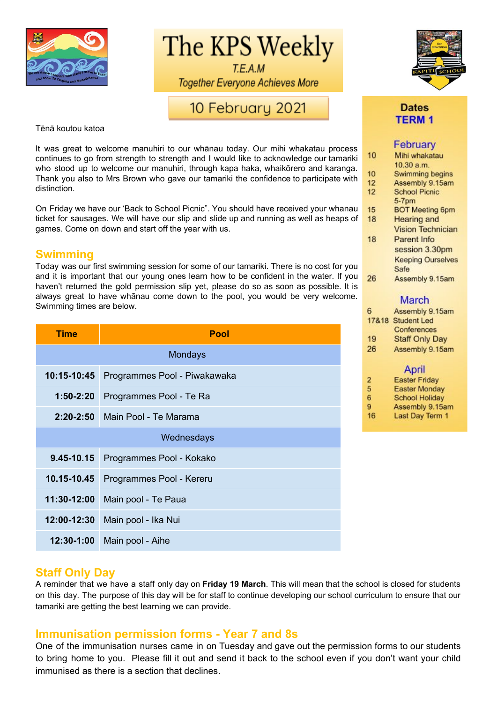

The KPS Weekly

T.E.A.M **Together Everyone Achieves More** 

# 10 February 2021

Tēnā koutou katoa

It was great to welcome manuhiri to our whānau today. Our mihi whakatau process continues to go from strength to strength and I would like to acknowledge our tamariki who stood up to welcome our manuhiri, through kapa haka, whaikōrero and karanga. Thank you also to Mrs Brown who gave our tamariki the confidence to participate with distinction.

On Friday we have our 'Back to School Picnic". You should have received your whanau ticket for sausages. We will have our slip and slide up and running as well as heaps of games. Come on down and start off the year with us.

### **Swimming**

Today was our first swimming session for some of our tamariki. There is no cost for you and it is important that our young ones learn how to be confident in the water. If you haven't returned the gold permission slip yet, please do so as soon as possible. It is always great to have whānau come down to the pool, you would be very welcome. Swimming times are below.

| Time          | <b>Pool</b>                  |  |
|---------------|------------------------------|--|
|               | Mondays                      |  |
| 10:15-10:45   | Programmes Pool - Piwakawaka |  |
| $1:50-2:20$   | Programmes Pool - Te Ra      |  |
| $2:20 - 2:50$ | Main Pool - Te Marama        |  |
| Wednesdays    |                              |  |
| 9.45-10.15    | Programmes Pool - Kokako     |  |
| 10.15-10.45   | Programmes Pool - Kereru     |  |
| 11:30-12:00   | Main pool - Te Paua          |  |
| 12:00-12:30   | Main pool - Ika Nui          |  |
| 12:30-1:00    | Main pool - Aihe             |  |

### **Dates TERM1**

### February

|    | .                        |
|----|--------------------------|
| 10 | Mihi whakatau            |
|    | 10.30 a.m.               |
| 10 | Swimming begins          |
| 12 | Assembly 9.15am          |
| 12 | <b>School Picnic</b>     |
|    | $5-7pm$                  |
| 15 | <b>BOT Meeting 6pm</b>   |
| 18 | <b>Hearing and</b>       |
|    | <b>Vision Technician</b> |
| 18 | Parent Info              |
|    | session 3.30pm           |
|    | <b>Keeping Ourselves</b> |
|    | Safe                     |
| 26 | Assembly 9.15am          |
|    |                          |

### **March**

| 6              | Assembly 9.15am                                                                                                                                                                                                                      |
|----------------|--------------------------------------------------------------------------------------------------------------------------------------------------------------------------------------------------------------------------------------|
|                | 17&18 Student Led                                                                                                                                                                                                                    |
|                | Conferences                                                                                                                                                                                                                          |
| 19             | <b>Staff Only Day</b>                                                                                                                                                                                                                |
| 26             | Assembly 9.15am                                                                                                                                                                                                                      |
|                | April                                                                                                                                                                                                                                |
| $\overline{2}$ | <b>Easter Friday</b>                                                                                                                                                                                                                 |
|                | <b>Provident of the contract of the contract of the contract of the contract of the contract of the contract of the contract of the contract of the contract of the contract of the contract of the contract of the contract of </b> |

| 5 | <b>Easter Monday</b>  |
|---|-----------------------|
| 6 | <b>School Holiday</b> |
| 9 | Assembly 9.15am       |

16 Last Day Term 1

### **Staff Only Day**

A reminder that we have a staff only day on **Friday 19 March**. This will mean that the school is closed for students on this day. The purpose of this day will be for staff to continue developing our school curriculum to ensure that our tamariki are getting the best learning we can provide.

### **Immunisation permission forms - Year 7 and 8s**

One of the immunisation nurses came in on Tuesday and gave out the permission forms to our students to bring home to you. Please fill it out and send it back to the school even if you don't want your child immunised as there is a section that declines.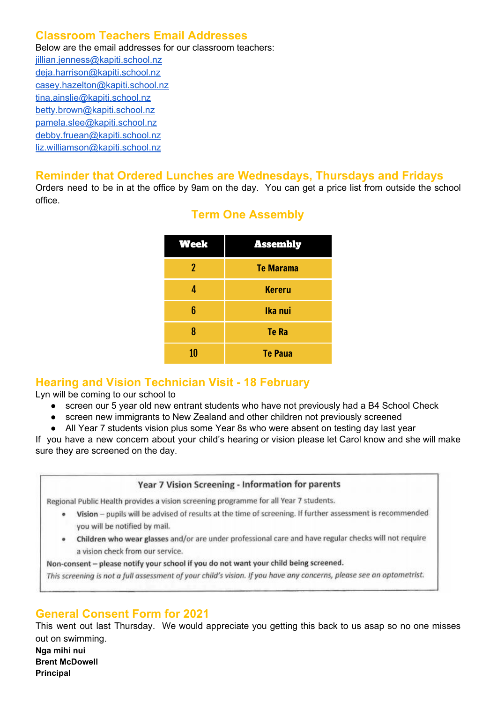# **Classroom Teachers Email Addresses**

Below are the email addresses for our classroom teachers:

[jillian.jenness@kapiti.school.nz](mailto:jillian.jenness@kapiti.school.nz) [deja.harrison@kapiti.school.nz](mailto:deja.harrison@kapiti.school.nz) [casey.hazelton@kapiti.school.nz](mailto:casey.hazelton@kapiti.school.nz) [tina.ainslie@kapiti.school.nz](mailto:tina.ainslie@kapiti.school.nz) [betty.brown@kapiti.school.nz](mailto:betty.brown@kapiti.school.nz) [pamela.slee@kapiti.school.nz](mailto:pamela.slee@kapiti.school.nz) [debby.fruean@kapiti.school.nz](mailto:debby.fruean@kapiti.school.nz) [liz.williamson@kapiti.school.nz](mailto:liz.williamson@kapiti.school.nz)

### **Reminder that Ordered Lunches are Wednesdays, Thursdays and Fridays**

Orders need to be in at the office by 9am on the day. You can get a price list from outside the school office.

| Week | <b>Assembly</b>  |
|------|------------------|
| 2    | <b>Te Marama</b> |
| 4    | <b>Kereru</b>    |
| 6    | Ika nui          |
| 8    | <b>Te Ra</b>     |
| 10   | <b>Te Paua</b>   |

# **Term One Assembly**

# **Hearing and Vision Technician Visit - 18 February**

Lyn will be coming to our school to

- screen our 5 year old new entrant students who have not previously had a B4 School Check
- screen new immigrants to New Zealand and other children not previously screened
- All Year 7 students vision plus some Year 8s who were absent on testing day last year

If you have a new concern about your child's hearing or vision please let Carol know and she will make sure they are screened on the day.

#### Year 7 Vision Screening - Information for parents

Regional Public Health provides a vision screening programme for all Year 7 students.

- . Vision pupils will be advised of results at the time of screening. If further assessment is recommended you will be notified by mail.
- . Children who wear glasses and/or are under professional care and have regular checks will not require a vision check from our service.

Non-consent - please notify your school if you do not want your child being screened.

This screening is not a full assessment of your child's vision. If you have any concerns, please see an optometrist.

# **General Consent Form for 2021**

This went out last Thursday. We would appreciate you getting this back to us asap so no one misses out on swimming. **Nga mihi nui**

**Brent McDowell Principal**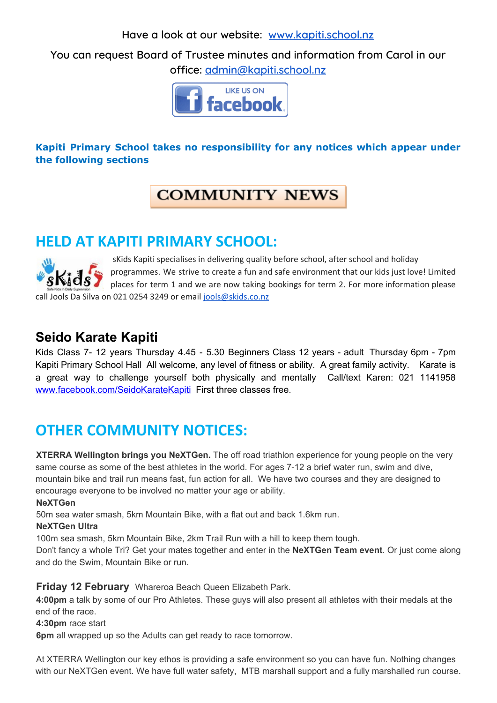**Have a look at our website: [www.kapiti.school.nz](http://www.kapiti.school.nz/)**

**You can request Board of Trustee minutes and information from Carol in our office: [admin@kapiti.school.nz](mailto:admin@kapiti.school.mz)**



# **Kapiti Primary School takes no responsibility for any notices which appear under the following sections**

# **COMMUNITY NEWS**

# **HELD AT KAPITI PRIMARY SCHOOL:**

sKids Kapiti specialises in delivering quality before school, after school and holiday programmes. We strive to create a fun and safe environment that our kids just love! Limited places for term 1 and we are now taking bookings for term 2. For more information please call Jools Da Silva on 021 0254 3249 or email jools@skids.co.nz

# **Seido Karate Kapiti**

Kids Class 7- 12 years Thursday 4.45 - 5.30 Beginners Class 12 years - adult Thursday 6pm - 7pm Kapiti Primary School Hall All welcome, any level of fitness or ability. A great family activity. Karate is a great way to challenge yourself both physically and mentally Call/text Karen: 021 1141958 [www.facebook.com/SeidoKarateKapiti](http://www.facebook.com/SeidoKarateKapiti) First three classes free.

# **OTHER COMMUNITY NOTICES:**

**XTERRA Wellington brings you NeXTGen.** The off road triathlon experience for young people on the very same course as some of the best athletes in the world. For ages 7-12 a brief water run, swim and dive, mountain bike and trail run means fast, fun action for all. We have two courses and they are designed to encourage everyone to be involved no matter your age or ability.

### **NeXTGen**

50m sea water smash, 5km Mountain Bike, with a flat out and back 1.6km run.

### **NeXTGen Ultra**

100m sea smash, 5km Mountain Bike, 2km Trail Run with a hill to keep them tough.

Don't fancy a whole Tri? Get your mates together and enter in the **NeXTGen Team event**. Or just come along and do the Swim, Mountain Bike or run.

### **Friday 12 February** Whareroa Beach Queen Elizabeth Park.

**4:00pm** a talk by some of our Pro Athletes. These guys will also present all athletes with their medals at the end of the race.

### **4:30pm** race start

**6pm** all wrapped up so the Adults can get ready to race tomorrow.

At XTERRA Wellington our key ethos is providing a safe environment so you can have fun. Nothing changes with our NeXTGen event. We have full water safety, MTB marshall support and a fully marshalled run course.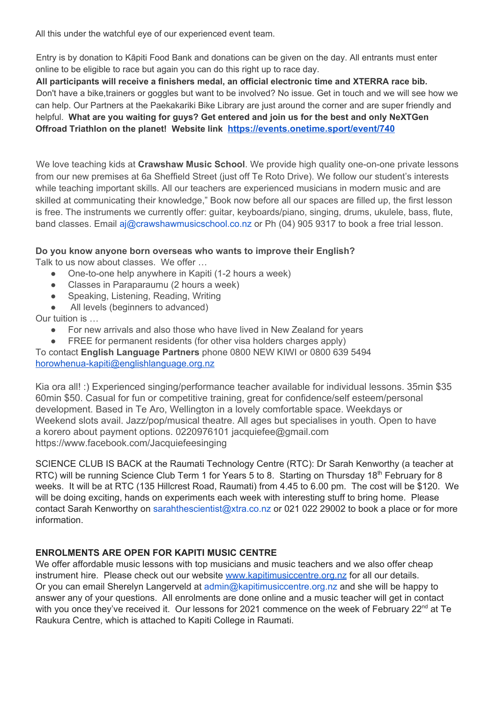All this under the watchful eye of our experienced event team.

Entry is by donation to Kāpiti Food Bank and donations can be given on the day. All entrants must enter online to be eligible to race but again you can do this right up to race day.

**All participants will receive a finishers medal, an official electronic time and XTERRA race bib.** Don't have a bike,trainers or goggles but want to be involved? No issue. Get in touch and we will see how we can help. Our Partners at the Paekakariki Bike Library are just around the corner and are super friendly and helpful. **What are you waiting for guys? Get entered and join us for the best and only NeXTGen Offroad Triathlon on the planet! Website link <https://events.onetime.sport/event/740>**

We love teaching kids at **Crawshaw Music School**. We provide high quality one-on-one private lessons from our new premises at 6a Sheffield Street (just off Te Roto Drive). We follow our student's interests while teaching important skills. All our teachers are experienced musicians in modern music and are skilled at communicating their knowledge," Book now before all our spaces are filled up, the first lesson is free. The instruments we currently offer: guitar, keyboards/piano, singing, drums, ukulele, bass, flute, band classes. Email aj@crawshawmusicschool.co.nz or Ph (04) 905 9317 to book a free trial lesson.

#### **Do you know anyone born overseas who wants to improve their English?** Talk to us now about classes. We offer …

- One-to-one help anywhere in Kapiti (1-2 hours a week)
- Classes in Paraparaumu (2 hours a week)
- Speaking, Listening, Reading, Writing
- All levels (beginners to advanced)

Our tuition is …

- For new arrivals and also those who have lived in New Zealand for years
- FREE for permanent residents (for other visa holders charges apply)

To contact **English Language Partners** phone 0800 NEW KIWI or 0800 639 5494 [horowhenua-kapiti@englishlanguage.org.nz](mailto:horowhenua-kapiti@englishlanguage.org.nz)

Kia ora all! :) Experienced singing/performance teacher available for individual lessons. 35min \$35 60min \$50. Casual for fun or competitive training, great for confidence/self esteem/personal development. Based in Te Aro, Wellington in a lovely comfortable space. Weekdays or Weekend slots avail. Jazz/pop/musical theatre. All ages but specialises in youth. Open to have a korero about payment options. 0220976101 jacquiefee@gmail.com https://www.facebook.com/Jacquiefeesinging

SCIENCE CLUB IS BACK at the Raumati Technology Centre (RTC): Dr Sarah Kenworthy (a teacher at RTC) will be running Science Club Term 1 for Years 5 to 8. Starting on Thursday 18<sup>th</sup> February for 8 weeks. It will be at RTC (135 Hillcrest Road, Raumati) from 4.45 to 6.00 pm. The cost will be \$120. We will be doing exciting, hands on experiments each week with interesting stuff to bring home. Please contact Sarah Kenworthy on sarahthescientist@xtra.co.nz or 021 022 29002 to book a place or for more information.

### **ENROLMENTS ARE OPEN FOR KAPITI MUSIC CENTRE**

We offer affordable music lessons with top musicians and music teachers and we also offer cheap instrument hire. Please check out our website [www.kapitimusiccentre.org.nz](http://www.kapitimusiccentre.org.nz/) for all our details. Or you can email Sherelyn Langerveld at admin@kapitimusiccentre.org.nz and she will be happy to answer any of your questions. All enrolments are done online and a music teacher will get in contact with you once they've received it. Our lessons for 2021 commence on the week of February 22<sup>nd</sup> at Te Raukura Centre, which is attached to Kapiti College in Raumati.